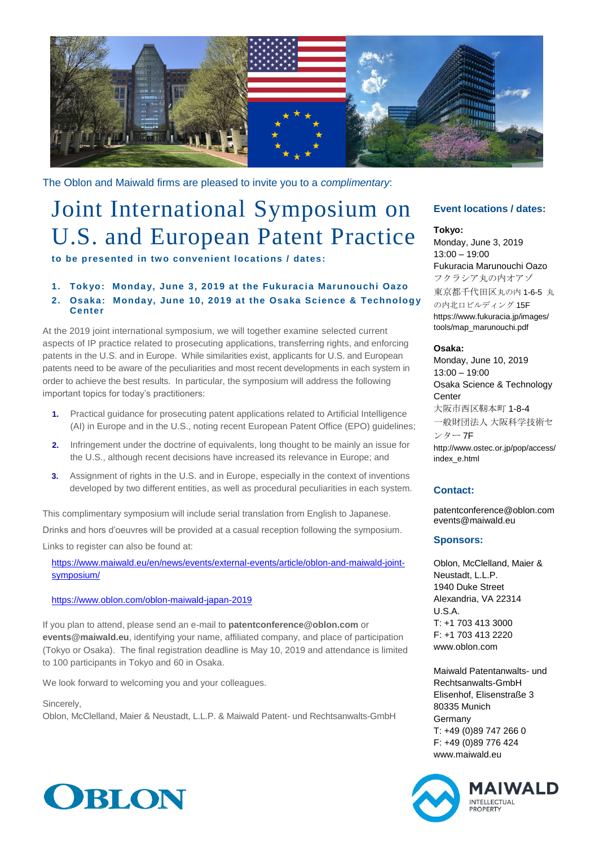

The Oblon and Maiwald firms are pleased to invite you to a *complimentary*:

# Joint International Symposium on U.S. and European Patent Practice

**to be presented in two convenient locations / dates:**

### **1. Tokyo: Monday, June 3, 2019 at the Fukuracia Marunouchi Oazo 2. Osaka: Monday, June 10, 2019 at the Osaka Science & Technology Center**

At the 2019 joint international symposium, we will together examine selected current aspects of IP practice related to prosecuting applications, transferring rights, and enforcing patents in the U.S. and in Europe. While similarities exist, applicants for U.S. and European patents need to be aware of the peculiarities and most recent developments in each system in order to achieve the best results. In particular, the symposium will address the following important topics for today's practitioners:

- **1.** Practical guidance for prosecuting patent applications related to Artificial Intelligence (AI) in Europe and in the U.S., noting recent European Patent Office (EPO) guidelines;
- **2.** Infringement under the doctrine of equivalents, long thought to be mainly an issue for the U.S., although recent decisions have increased its relevance in Europe; and
- **3.** Assignment of rights in the U.S. and in Europe, especially in the context of inventions developed by two different entities, as well as procedural peculiarities in each system.

This complimentary symposium will include serial translation from English to Japanese. Drinks and hors d'oeuvres will be provided at a casual reception following the symposium.

Links to register can also be found at:

[https://www.maiwald.eu/en/news/events/external-events/article/oblon-and-maiwald-joint](https://www.maiwald.eu/en/news/events/external-events/article/oblon-and-maiwald-joint-symposium/)[symposium/](https://www.maiwald.eu/en/news/events/external-events/article/oblon-and-maiwald-joint-symposium/)

#### <https://www.oblon.com/oblon-maiwald-japan-2019>

If you plan to attend, please send an e-mail to **patentconference@oblon.com** or **events@maiwald.eu**, identifying your name, affiliated company, and place of participation (Tokyo or Osaka). The final registration deadline is May 10, 2019 and attendance is limited to 100 participants in Tokyo and 60 in Osaka.

We look forward to welcoming you and your colleagues.

Sincerely,

Oblon, McClelland, Maier & Neustadt, L.L.P. & Maiwald Patent- und Rechtsanwalts-GmbH



## **Event locations / dates:**

#### **Tokyo:**

Monday, June 3, 2019 13:00 – 19:00 Fukuracia Marunouchi Oazo フクラシア丸の内オアゾ 東京都千代田区丸の内 1-6-5 丸 の内北口ビルディング 15F https://www.fukuracia.jp/images/ tools/map\_marunouchi.pdf

#### **Osaka:**

Monday, June 10, 2019 13:00 – 19:00 Osaka Science & Technology **Center** 大阪市西区靭本町 1-8-4 一般財団法人 大阪科学技術セ ンター 7F http://www.ostec.or.jp/pop/access/ index\_e.html

## **Contact:**

patentconference@oblon.com events@maiwald.eu

## **Sponsors:**

Oblon, McClelland, Maier & Neustadt, L.L.P. 1940 Duke Street Alexandria, VA 22314 U.S.A. T: +1 703 413 3000 F: +1 703 413 2220 www.oblon.com

Maiwald Patentanwalts- und Rechtsanwalts-GmbH Elisenhof, Elisenstraße 3 80335 Munich Germany T: +49 (0)89 747 266 0 F: +49 (0)89 776 424 www.maiwald.eu

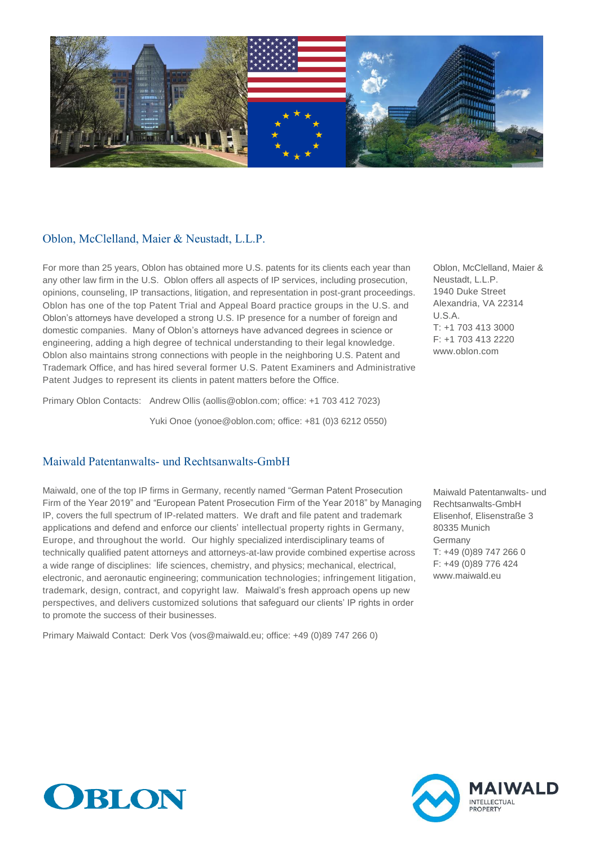

## Oblon, McClelland, Maier & Neustadt, L.L.P.

For more than 25 years, Oblon has obtained more U.S. patents for its clients each year than any other law firm in the U.S. Oblon offers all aspects of IP services, including prosecution, opinions, counseling, IP transactions, litigation, and representation in post-grant proceedings. Oblon has one of the top Patent Trial and Appeal Board practice groups in the U.S. and Oblon's attorneys have developed a strong U.S. IP presence for a number of foreign and domestic companies. Many of Oblon's attorneys have advanced degrees in science or engineering, adding a high degree of technical understanding to their legal knowledge. Oblon also maintains strong connections with people in the neighboring U.S. Patent and Trademark Office, and has hired several former U.S. Patent Examiners and Administrative Patent Judges to represent its clients in patent matters before the Office.

Primary Oblon Contacts: Andrew Ollis (aollis@oblon.com; office: +1 703 412 7023)

Yuki Onoe (yonoe@oblon.com; office: +81 (0)3 6212 0550)

Maiwald Patentanwalts- und Rechtsanwalts-GmbH

Maiwald, one of the top IP firms in Germany, recently named "German Patent Prosecution Firm of the Year 2019" and "European Patent Prosecution Firm of the Year 2018" by Managing IP, covers the full spectrum of IP-related matters. We draft and file patent and trademark applications and defend and enforce our clients' intellectual property rights in Germany, Europe, and throughout the world. Our highly specialized interdisciplinary teams of technically qualified patent attorneys and attorneys-at-law provide combined expertise across a wide range of disciplines: life sciences, chemistry, and physics; mechanical, electrical, electronic, and aeronautic engineering; communication technologies; infringement litigation, trademark, design, contract, and copyright law. Maiwald's fresh approach opens up new perspectives, and delivers customized solutions that safeguard our clients' IP rights in order to promote the success of their businesses.

Primary Maiwald Contact: Derk Vos (vos@maiwald.eu; office: +49 (0)89 747 266 0)

Oblon, McClelland, Maier & Neustadt, L.L.P. 1940 Duke Street Alexandria, VA 22314 U.S.A. T: +1 703 413 3000 F: +1 703 413 2220 www.oblon.com

Maiwald Patentanwalts- und Rechtsanwalts-GmbH Elisenhof, Elisenstraße 3 80335 Munich Germany T: +49 (0)89 747 266 0 F: +49 (0)89 776 424 www.maiwald.eu